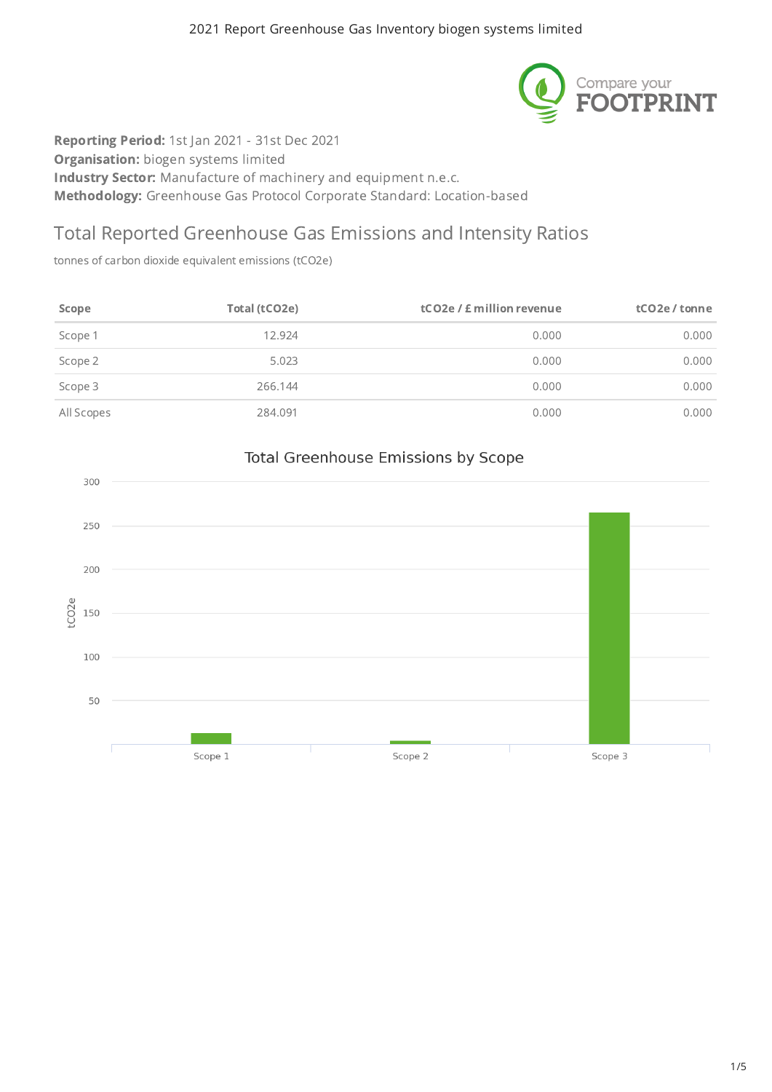

Reporting Period: 1st Jan 2021 - 31st Dec 2021 **Organisation:** biogen systems limited Industry Sector: Manufacture of machinery and equipment n.e.c. Methodology: Greenhouse Gas Protocol Corporate Standard: Location-based

## Total Reported Greenhouse Gas Emissions and Intensity Ratios

tonnes of carbon dioxide equivalent emissions (tCO2e)

| Scope      | Total (tCO2e) | tCO <sub>2</sub> e / £ million revenue | tCO2e / tonne |
|------------|---------------|----------------------------------------|---------------|
| Scope 1    | 12.924        | 0.000                                  | 0.000         |
| Scope 2    | 5.023         | 0.000                                  | 0.000         |
| Scope 3    | 266.144       | 0.000                                  | 0.000         |
| All Scopes | 284.091       | 0.000                                  | 0.000         |



#### Total Greenhouse Emissions by Scope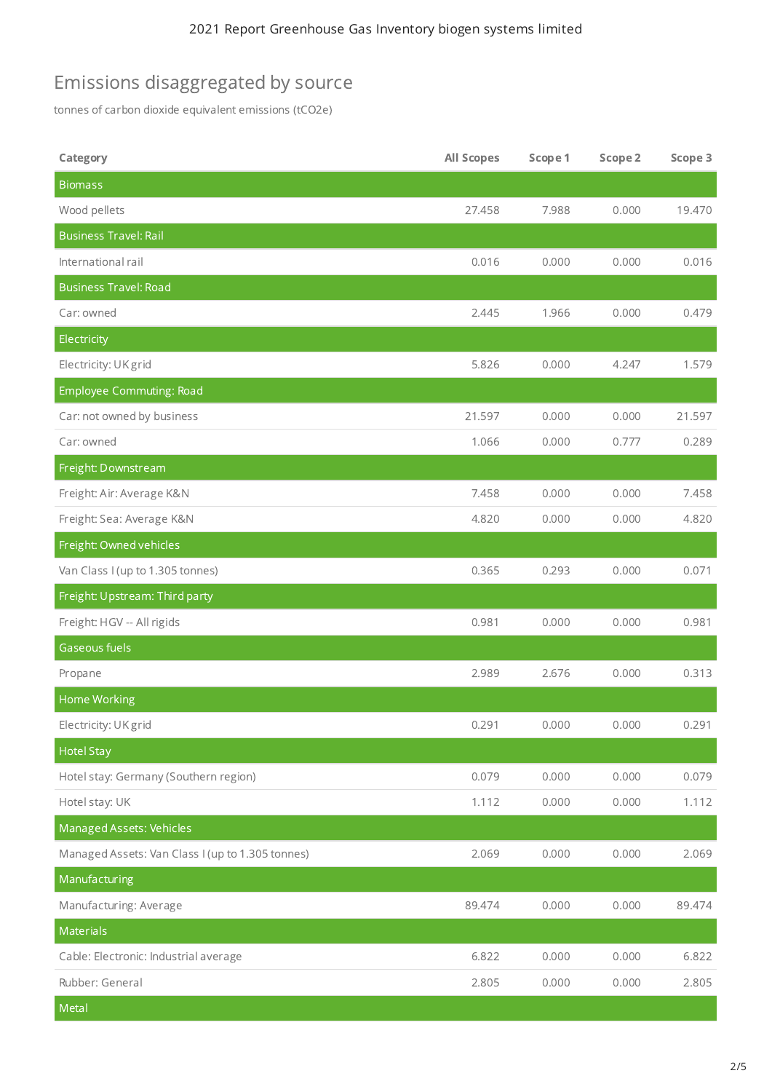# Emissions disaggregated by source

tonnes of carbon dioxide equivalent emissions (tCO2e)

| Category                                         | <b>All Scopes</b> | Scope 1 | Scope 2 | Scope 3 |
|--------------------------------------------------|-------------------|---------|---------|---------|
| <b>Biomass</b>                                   |                   |         |         |         |
| Wood pellets                                     | 27.458            | 7.988   | 0.000   | 19.470  |
| <b>Business Travel: Rail</b>                     |                   |         |         |         |
| International rail                               | 0.016             | 0.000   | 0.000   | 0.016   |
| <b>Business Travel: Road</b>                     |                   |         |         |         |
| Car: owned                                       | 2.445             | 1.966   | 0.000   | 0.479   |
| Electricity                                      |                   |         |         |         |
| Electricity: UK grid                             | 5.826             | 0.000   | 4.247   | 1.579   |
| <b>Employee Commuting: Road</b>                  |                   |         |         |         |
| Car: not owned by business                       | 21.597            | 0.000   | 0.000   | 21.597  |
| Car: owned                                       | 1.066             | 0.000   | 0.777   | 0.289   |
| Freight: Downstream                              |                   |         |         |         |
| Freight: Air: Average K&N                        | 7.458             | 0.000   | 0.000   | 7.458   |
| Freight: Sea: Average K&N                        | 4.820             | 0.000   | 0.000   | 4.820   |
| Freight: Owned vehicles                          |                   |         |         |         |
| Van Class I (up to 1.305 tonnes)                 | 0.365             | 0.293   | 0.000   | 0.071   |
| Freight: Upstream: Third party                   |                   |         |         |         |
| Freight: HGV -- All rigids                       | 0.981             | 0.000   | 0.000   | 0.981   |
| Gaseous fuels                                    |                   |         |         |         |
| Propane                                          | 2.989             | 2.676   | 0.000   | 0.313   |
| Home Working                                     |                   |         |         |         |
| Electricity: UK grid                             | 0.291             | 0.000   | 0.000   | 0.291   |
| <b>Hotel Stay</b>                                |                   |         |         |         |
| Hotel stay: Germany (Southern region)            | 0.079             | 0.000   | 0.000   | 0.079   |
| Hotel stay: UK                                   | 1.112             | 0.000   | 0.000   | 1.112   |
| Managed Assets: Vehicles                         |                   |         |         |         |
| Managed Assets: Van Class I (up to 1.305 tonnes) | 2.069             | 0.000   | 0.000   | 2.069   |
| Manufacturing                                    |                   |         |         |         |
| Manufacturing: Average                           | 89.474            | 0.000   | 0.000   | 89.474  |
| Materials                                        |                   |         |         |         |
| Cable: Electronic: Industrial average            | 6.822             | 0.000   | 0.000   | 6.822   |
| Rubber: General                                  | 2.805             | 0.000   | 0.000   | 2.805   |
| Metal                                            |                   |         |         |         |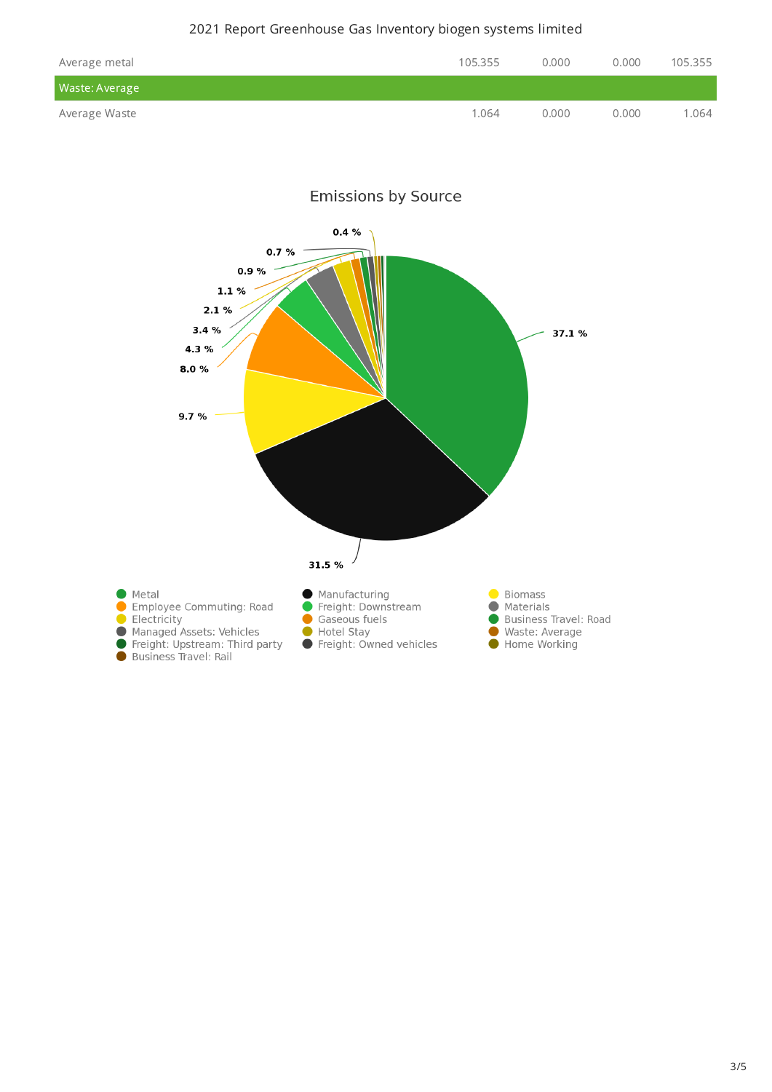#### 2021 Report Greenhouse Gas Inventory biogen systems limited

| Average metal  | 105.355 | 0.000 | 0.000 | 105.355 |
|----------------|---------|-------|-------|---------|
| Waste: Average |         |       |       |         |
| Average Waste  | 1.064   | 0.000 | 0.000 | 1.064   |

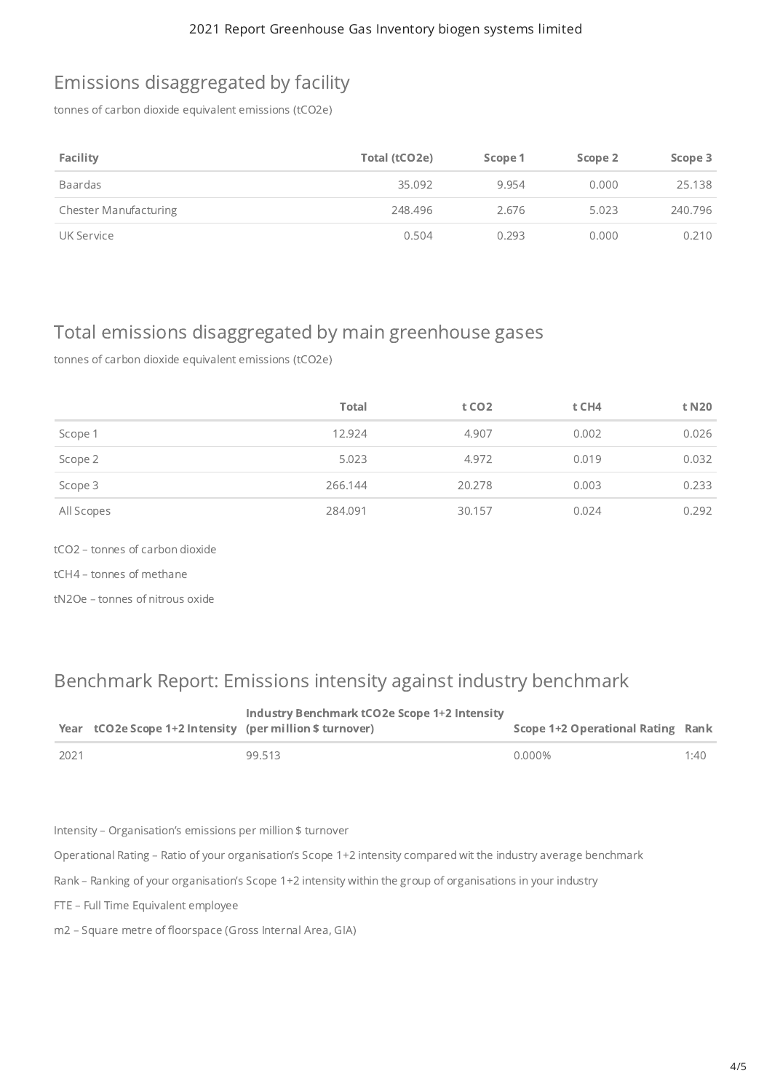## Emissions disaggregated by facility

tonnes of carbon dioxide equivalent emissions (tCO2e)

| Facility                     | Total (tCO2e) | Scope 1 | Scope 2 | Scope 3 |
|------------------------------|---------------|---------|---------|---------|
| Baardas                      | 35.092        | 9.954   | 0.000   | 25.138  |
| <b>Chester Manufacturing</b> | 248.496       | 2.676   | 5.023   | 240.796 |
| UK Service                   | 0.504         | 0.293   | 0.000   | 0.210   |

## Total emissions disaggregated by main greenhouse gases

tonnes of carbon dioxide equivalent emissions (tCO2e)

|            | <b>Total</b> | t CO <sub>2</sub> | t CH4 | t N20 |
|------------|--------------|-------------------|-------|-------|
| Scope 1    | 12.924       | 4.907             | 0.002 | 0.026 |
| Scope 2    | 5.023        | 4.972             | 0.019 | 0.032 |
| Scope 3    | 266.144      | 20.278            | 0.003 | 0.233 |
| All Scopes | 284.091      | 30.157            | 0.024 | 0.292 |

tCO2 – tonnes of carbon dioxide

tCH4 – tonnes of methane

tN2Oe – tonnes of nitrous oxide

#### Benchmark Report: Emissions intensity against industry benchmark

|      | Year tCO2e Scope 1+2 Intensity (per million \$ turnover) | <b>Industry Benchmark tCO2e Scope 1+2 Intensity</b> | Scope 1+2 Operational Rating Rank |      |
|------|----------------------------------------------------------|-----------------------------------------------------|-----------------------------------|------|
| 2021 |                                                          | 99.513                                              | 0.000%                            | 1:40 |

Intensity – Organisation's emissions per million \$ turnover

Operational Rating – Ratio of your organisation's Scope 1+2 intensity compared wit the industry average benchmark

Rank – Ranking of your organisation's Scope 1+2 intensity within the group of organisations in your industry

FTE – Full Time Equivalent employee

m2 – Square metre of floorspace (Gross Internal Area, GIA)